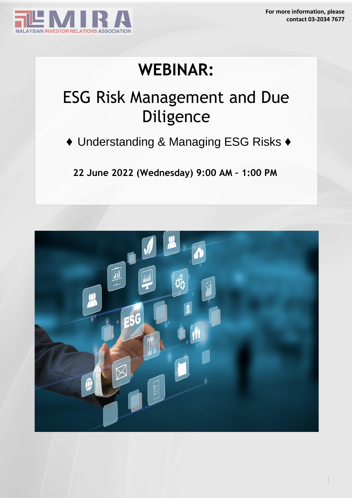

## **WEBINAR:**

## ESG Risk Management and Due Diligence

*♦* Understanding & Managing ESG Risks *♦*

**22 June 2022 (Wednesday) 9:00 AM – 1:00 PM**

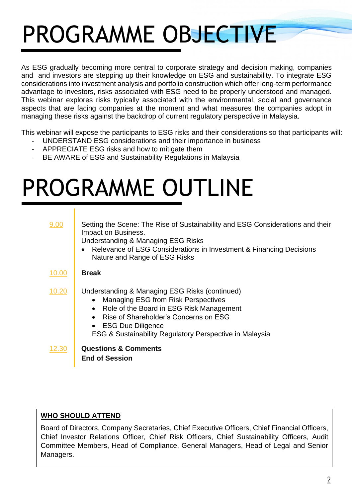# PROGRAMME OBJECTIVE

As ESG gradually becoming more central to corporate strategy and decision making, companies and and investors are stepping up their knowledge on ESG and sustainability. To integrate ESG considerations into investment analysis and portfolio construction which offer long-term performance advantage to investors, risks associated with ESG need to be properly understood and managed. This webinar explores risks typically associated with the environmental, social and governance aspects that are facing companies at the moment and what measures the companies adopt in managing these risks against the backdrop of current regulatory perspective in Malaysia.

This webinar will expose the participants to ESG risks and their considerations so that participants will:

- UNDERSTAND ESG considerations and their importance in business
- APPRECIATE ESG risks and how to mitigate them
- BE AWARE of ESG and Sustainability Regulations in Malaysia

## PROGRAMME OUTLINE

| 9.00  | Setting the Scene: The Rise of Sustainability and ESG Considerations and their<br>Impact on Business.<br>Understanding & Managing ESG Risks<br>Relevance of ESG Considerations in Investment & Financing Decisions<br>Nature and Range of ESG Risks                                |
|-------|------------------------------------------------------------------------------------------------------------------------------------------------------------------------------------------------------------------------------------------------------------------------------------|
| 10.00 | <b>Break</b>                                                                                                                                                                                                                                                                       |
| 10.20 | Understanding & Managing ESG Risks (continued)<br><b>Managing ESG from Risk Perspectives</b><br>$\bullet$<br>• Role of the Board in ESG Risk Management<br>Rise of Shareholder's Concerns on ESG<br>• ESG Due Diligence<br>ESG & Sustainability Regulatory Perspective in Malaysia |
| 12.30 | <b>Questions &amp; Comments</b><br><b>End of Session</b>                                                                                                                                                                                                                           |

### **WHO SHOULD ATTEND**

Board of Directors, Company Secretaries, Chief Executive Officers, Chief Financial Officers, Chief Investor Relations Officer, Chief Risk Officers, Chief Sustainability Officers, Audit Committee Members, Head of Compliance, General Managers, Head of Legal and Senior Managers.